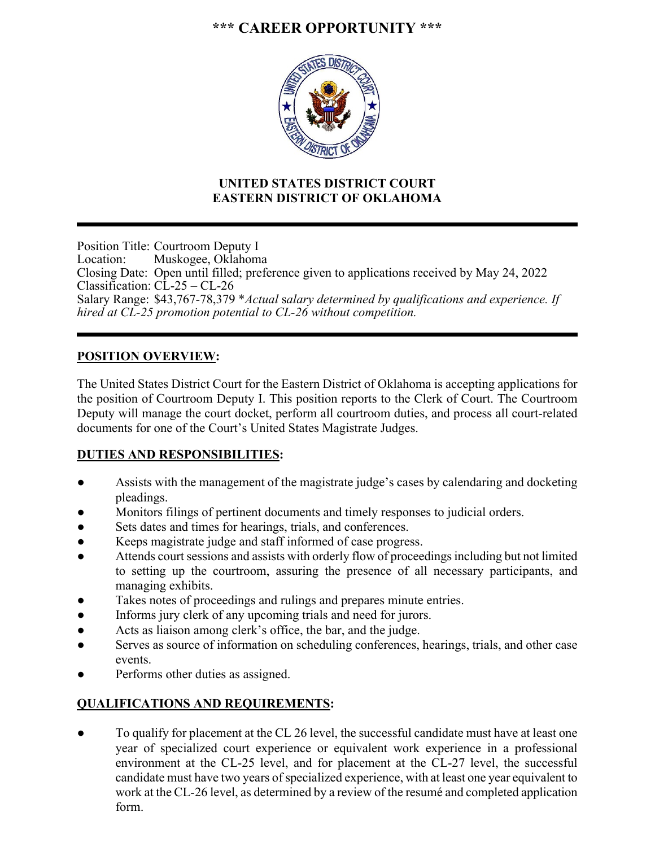# **\*\*\* CAREER OPPORTUNITY \*\*\***



## **UNITED STATES DISTRICT COURT EASTERN DISTRICT OF OKLAHOMA**

Position Title: Courtroom Deputy I Location: Muskogee, Oklahoma Closing Date: Open until filled; preference given to applications received by May 24, 2022 Classification: CL-25 – CL-26 Salary Range: \$43,767-78,379 \**Actual* s*alary determined by qualifications and experience. If hired at CL-25 promotion potential to CL-26 without competition.*  

## **POSITION OVERVIEW:**

The United States District Court for the Eastern District of Oklahoma is accepting applications for the position of Courtroom Deputy I. This position reports to the Clerk of Court. The Courtroom Deputy will manage the court docket, perform all courtroom duties, and process all court-related documents for one of the Court's United States Magistrate Judges.

#### **DUTIES AND RESPONSIBILITIES:**

- Assists with the management of the magistrate judge's cases by calendaring and docketing pleadings.
- Monitors filings of pertinent documents and timely responses to judicial orders.
- Sets dates and times for hearings, trials, and conferences.
- Keeps magistrate judge and staff informed of case progress.
- Attends court sessions and assists with orderly flow of proceedings including but not limited to setting up the courtroom, assuring the presence of all necessary participants, and managing exhibits.
- Takes notes of proceedings and rulings and prepares minute entries.
- Informs jury clerk of any upcoming trials and need for jurors.
- Acts as liaison among clerk's office, the bar, and the judge.
- Serves as source of information on scheduling conferences, hearings, trials, and other case events.
- Performs other duties as assigned.

## **QUALIFICATIONS AND REQUIREMENTS:**

• To qualify for placement at the CL 26 level, the successful candidate must have at least one year of specialized court experience or equivalent work experience in a professional environment at the CL-25 level, and for placement at the CL-27 level, the successful candidate must have two years of specialized experience, with at least one year equivalent to work at the CL-26 level, as determined by a review of the resumé and completed application form.